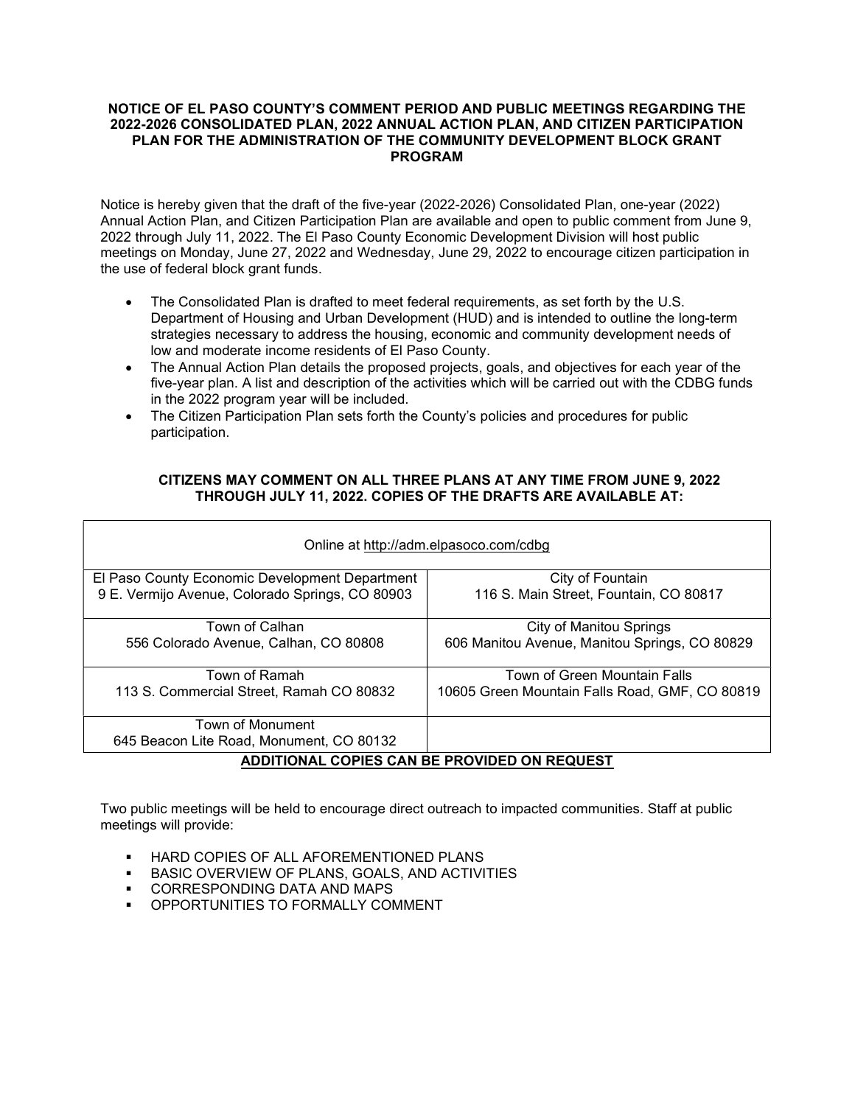## NOTICE OF EL PASO COUNTY'S COMMENT PERIOD AND PUBLIC MEETINGS REGARDING THE 2022-2026 CONSOLIDATED PLAN, 2022 ANNUAL ACTION PLAN, AND CITIZEN PARTICIPATION PLAN FOR THE ADMINISTRATION OF THE COMMUNITY DEVELOPMENT BLOCK GRANT PROGRAM

Notice is hereby given that the draft of the five-year (2022-2026) Consolidated Plan, one-year (2022) Annual Action Plan, and Citizen Participation Plan are available and open to public comment from June 9, 2022 through July 11, 2022. The El Paso County Economic Development Division will host public meetings on Monday, June 27, 2022 and Wednesday, June 29, 2022 to encourage citizen participation in the use of federal block grant funds.

- The Consolidated Plan is drafted to meet federal requirements, as set forth by the U.S. Department of Housing and Urban Development (HUD) and is intended to outline the long-term strategies necessary to address the housing, economic and community development needs of low and moderate income residents of El Paso County.
- The Annual Action Plan details the proposed projects, goals, and objectives for each year of the five-year plan. A list and description of the activities which will be carried out with the CDBG funds in the 2022 program year will be included.
- The Citizen Participation Plan sets forth the County's policies and procedures for public participation.

## CITIZENS MAY COMMENT ON ALL THREE PLANS AT ANY TIME FROM JUNE 9, 2022 THROUGH JULY 11, 2022. COPIES OF THE DRAFTS ARE AVAILABLE AT:

| Online at http://adm.elpasoco.com/cdbg              |                                                |
|-----------------------------------------------------|------------------------------------------------|
| El Paso County Economic Development Department      | City of Fountain                               |
| 9 E. Vermijo Avenue, Colorado Springs, CO 80903     | 116 S. Main Street, Fountain, CO 80817         |
| Town of Calhan                                      | <b>City of Manitou Springs</b>                 |
| 556 Colorado Avenue, Calhan, CO 80808               | 606 Manitou Avenue, Manitou Springs, CO 80829  |
| Town of Ramah                                       | Town of Green Mountain Falls                   |
| 113 S. Commercial Street, Ramah CO 80832            | 10605 Green Mountain Falls Road, GMF, CO 80819 |
| Town of Monument                                    |                                                |
| 645 Beacon Lite Road, Monument, CO 80132            |                                                |
| <b>ADDITIONAL COPIES CAN BE PROVIDED ON REQUEST</b> |                                                |

Two public meetings will be held to encourage direct outreach to impacted communities. Staff at public meetings will provide:

- **EXECUTE IS ONEXAMPLE OF ALL AFOREMENTIONED PLANS**
- **BASIC OVERVIEW OF PLANS, GOALS, AND ACTIVITIES**
- **CORRESPONDING DATA AND MAPS**
- OPPORTUNITIES TO FORMALLY COMMENT